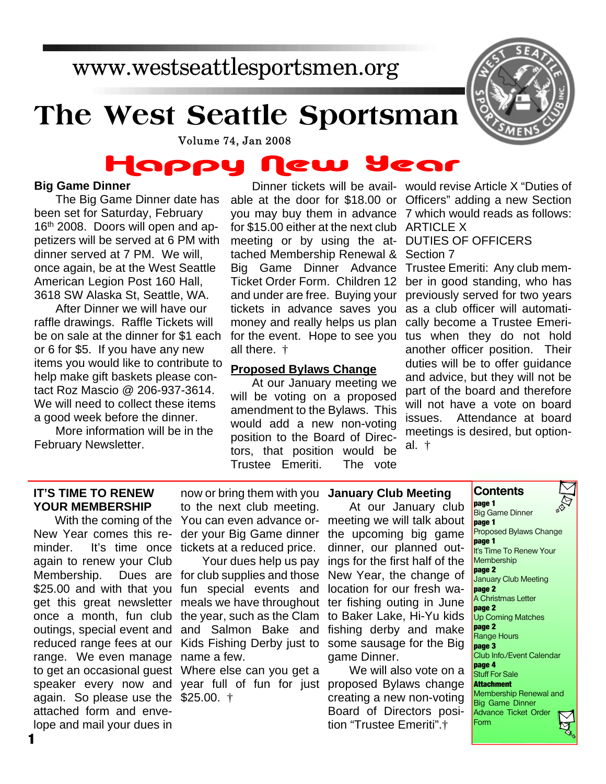# www.westseattlesportsmen.org

# **The West Seattle Sportsman**



Volume 74, Jan 2008

### HOPPY lear CW

### **Big Game Dinner**

The Big Game Dinner date has been set for Saturday, February 16<sup>th</sup> 2008. Doors will open and appetizers will be served at 6 PM with dinner served at 7 PM. We will, once again, be at the West Seattle American Legion Post 160 Hall, 3618 SW Alaska St, Seattle, WA.

After Dinner we will have our raffle drawings. Raffle Tickets will be on sale at the dinner for \$1 each or 6 for \$5. If you have any new items you would like to contribute to help make gift baskets please contact Roz Mascio @ 206-937-3614. We will need to collect these items a good week before the dinner.

More information will be in the February Newsletter.

able at the door for \$18.00 or Officers" adding a new Section you may buy them in advance 7 which would reads as follows: for \$15.00 either at the next club ARTICLE X meeting or by using the at-DUTIES OF OFFICERS tached Membership Renewal & Section 7 Big Game Dinner Advance Ticket Order Form. Children 12 and under are free. Buying your tickets in advance saves you money and really helps us plan for the event. Hope to see you all there. †

### **Proposed Bylaws Change**

At our January meeting we will be voting on a proposed amendment to the Bylaws. This would add a new non-voting position to the Board of Directors, that position would be Trustee Emeriti. The vote

Dinner tickets will be avail-would revise Article X "Duties of

Trustee Emeriti: Any club member in good standing, who has previously served for two years as a club officer will automatically become a Trustee Emeritus when they do not hold another officer position. Their duties will be to offer guidance and advice, but they will not be part of the board and therefore will not have a vote on board issues. Attendance at board meetings is desired, but optional. †

### **IT'S TIME TO RENEW YOUR MEMBERSHIP**

New Year comes this reminder. It's time once tickets at a reduced price. again to renew your Club Membership. \$25.00 and with that you fun special events and get this great newsletter meals we have throughout ter fishing outing in June once a month, fun club the year, such as the Clam outings, special event and and Salmon Bake and reduced range fees at our Kids Fishing Derby just to some sausage for the Big range. We even manage name a few. to get an occasional guest Where else can you get a speaker every now and year full of fun for just proposed Bylaws change again. So please use the \$25.00. † attached form and envelope and mail your dues in

With the coming of the You can even advance ornow or bring them with you **January Club Meeting** to the next club meeting. der your Big Game dinner the upcoming big game

> Your dues help us pay Dues are for club supplies and those

At our January club meeting we will talk about dinner, our planned outings for the first half of the New Year, the change of location for our fresh wato Baker Lake, Hi-Yu kids fishing derby and make game Dinner.

We will also vote on a creating a new non-voting Board of Directors position "Trustee Emeriti".†

### **Contents page 1**

Big Game Dinner **page 1** Proposed Bylaws Change **page 1** It's Time To Renew Your **Membership page 2** January Club Meeting **page 2** A Christmas Letter **page 2** Up Coming Matches **page 2** Range Hours **page 3** Club Info./Event Calendar **page 4** Stuff For Sale **Attachment** Membership Renewal and Big Game Dinner Advance Ticket Order Form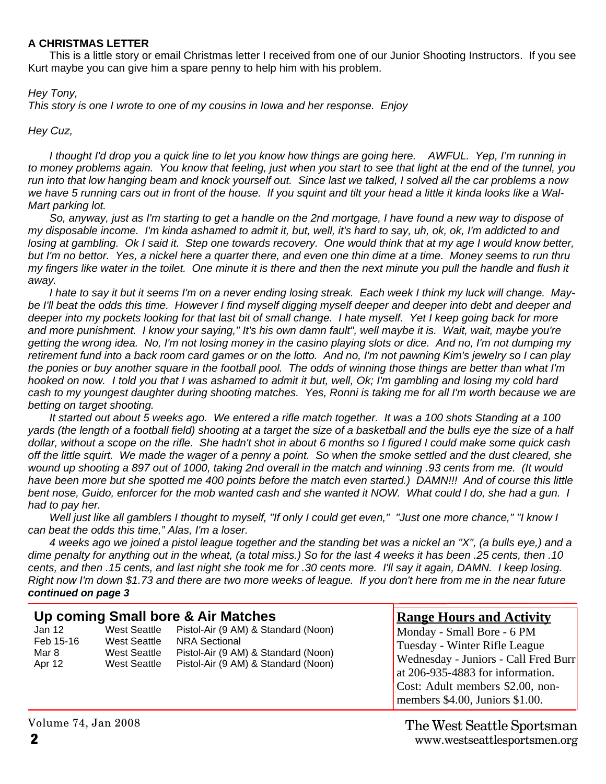### **A CHRISTMAS LETTER**

This is a little story or email Christmas letter I received from one of our Junior Shooting Instructors. If you see Kurt maybe you can give him a spare penny to help him with his problem.

### *Hey Tony,*

*This story is one I wrote to one of my cousins in Iowa and her response. Enjoy*

*Hey Cuz,*

*I thought I'd drop you a quick line to let you know how things are going here. AWFUL. Yep, I'm running in to money problems again. You know that feeling, just when you start to see that light at the end of the tunnel, you run into that low hanging beam and knock yourself out. Since last we talked, I solved all the car problems a now we have 5 running cars out in front of the house. If you squint and tilt your head a little it kinda looks like a Wal-Mart parking lot.*

*So, anyway, just as I'm starting to get a handle on the 2nd mortgage, I have found a new way to dispose of my disposable income. I'm kinda ashamed to admit it, but, well, it's hard to say, uh, ok, ok, I'm addicted to and losing at gambling. Ok I said it. Step one towards recovery. One would think that at my age I would know better, but I'm no bettor. Yes, a nickel here a quarter there, and even one thin dime at a time. Money seems to run thru my fingers like water in the toilet. One minute it is there and then the next minute you pull the handle and flush it away.*

*I hate to say it but it seems I'm on a never ending losing streak. Each week I think my luck will change. Maybe I'll beat the odds this time. However I find myself digging myself deeper and deeper into debt and deeper and deeper into my pockets looking for that last bit of small change. I hate myself. Yet I keep going back for more and more punishment. I know your saying," It's his own damn fault", well maybe it is. Wait, wait, maybe you're getting the wrong idea. No, I'm not losing money in the casino playing slots or dice. And no, I'm not dumping my retirement fund into a back room card games or on the lotto. And no, I'm not pawning Kim's jewelry so I can play the ponies or buy another square in the football pool. The odds of winning those things are better than what I'm hooked on now. I told you that I was ashamed to admit it but, well, Ok; I'm gambling and losing my cold hard cash to my youngest daughter during shooting matches. Yes, Ronni is taking me for all I'm worth because we are betting on target shooting.*

*It started out about 5 weeks ago. We entered a rifle match together. It was a 100 shots Standing at a 100 yards (the length of a football field) shooting at a target the size of a basketball and the bulls eye the size of a half dollar, without a scope on the rifle. She hadn't shot in about 6 months so I figured I could make some quick cash off the little squirt. We made the wager of a penny a point. So when the smoke settled and the dust cleared, she wound up shooting a 897 out of 1000, taking 2nd overall in the match and winning .93 cents from me. (It would have been more but she spotted me 400 points before the match even started.) DAMN!!! And of course this little bent nose, Guido, enforcer for the mob wanted cash and she wanted it NOW. What could I do, she had a gun. I had to pay her.*

*Well just like all gamblers I thought to myself, "If only I could get even," "Just one more chance," "I know I can beat the odds this time," Alas, I'm a loser.*

*4 weeks ago we joined a pistol league together and the standing bet was a nickel an "X", (a bulls eye,) and a dime penalty for anything out in the wheat, (a total miss.) So for the last 4 weeks it has been .25 cents, then .10 cents, and then .15 cents, and last night she took me for .30 cents more. I'll say it again, DAMN. I keep losing. Right now I'm down \$1.73 and there are two more weeks of league. If you don't here from me in the near future continued on page 3*

|                                        |                                                              | Up coming Small bore & Air Matches                                                                                                        | <b>Range Hours and Activity</b>                                                                                                                                                                                |
|----------------------------------------|--------------------------------------------------------------|-------------------------------------------------------------------------------------------------------------------------------------------|----------------------------------------------------------------------------------------------------------------------------------------------------------------------------------------------------------------|
| Jan 12<br>Feb 15-16<br>Mar 8<br>Apr 12 | West Seattle<br>West Seattle<br>West Seattle<br>West Seattle | Pistol-Air (9 AM) & Standard (Noon)<br><b>NRA Sectional</b><br>Pistol-Air (9 AM) & Standard (Noon)<br>Pistol-Air (9 AM) & Standard (Noon) | Monday - Small Bore - 6 PM<br>Tuesday - Winter Rifle League<br>Wednesday - Juniors - Call Fred Burr<br>at 206-935-4883 for information.<br>Cost: Adult members \$2.00, non-<br>members \$4.00, Juniors \$1.00. |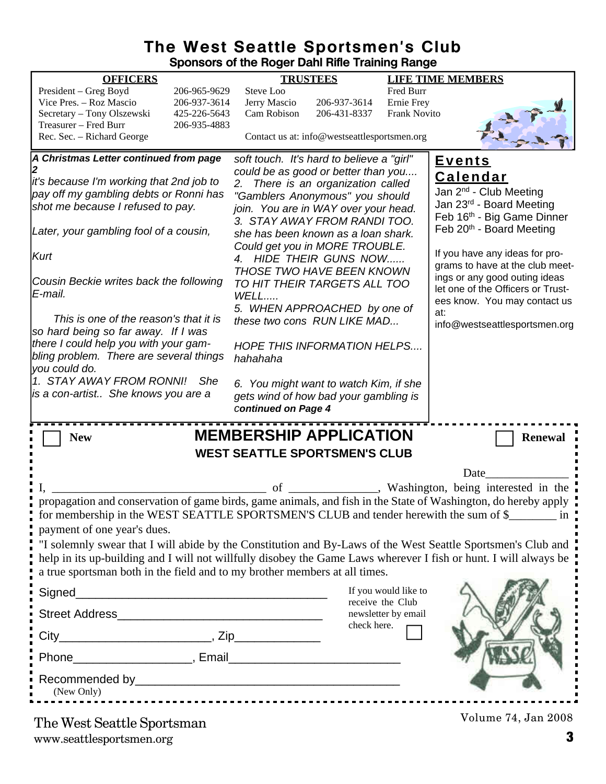### **The West Seattle Sportsmen's Club Sponsors of the Roger Dahl Rifle Training Range**

|                                                                                  |                              | oponoono or ano nogor Dann runo Trammig nango                        |                                              |                                          |                                                                                                                  |
|----------------------------------------------------------------------------------|------------------------------|----------------------------------------------------------------------|----------------------------------------------|------------------------------------------|------------------------------------------------------------------------------------------------------------------|
| <b>OFFICERS</b>                                                                  |                              |                                                                      | <b>TRUSTEES</b>                              |                                          | <b>LIFE TIME MEMBERS</b>                                                                                         |
| President - Greg Boyd<br>Vice Pres. - Roz Mascio                                 | 206-965-9629<br>206-937-3614 | Steve Loo<br>Jerry Mascio                                            | 206-937-3614                                 | Fred Burr<br>Ernie Frey                  |                                                                                                                  |
| Secretary - Tony Olszewski                                                       | 425-226-5643                 | Cam Robison                                                          | 206-431-8337                                 | <b>Frank Novito</b>                      |                                                                                                                  |
| Treasurer - Fred Burr                                                            | 206-935-4883                 |                                                                      |                                              |                                          |                                                                                                                  |
| Rec. Sec. - Richard George                                                       |                              |                                                                      | Contact us at: info@westseattlesportsmen.org |                                          |                                                                                                                  |
| A Christmas Letter continued from page                                           |                              | soft touch. It's hard to believe a "girl"                            |                                              |                                          | <u>Events</u>                                                                                                    |
|                                                                                  |                              | could be as good or better than you                                  |                                              |                                          | <b>Calendar</b>                                                                                                  |
| it's because I'm working that 2nd job to                                         |                              | 2.                                                                   | There is an organization called              |                                          | Jan 2 <sup>nd</sup> - Club Meeting                                                                               |
| pay off my gambling debts or Ronni has<br>shot me because I refused to pay.      |                              | "Gamblers Anonymous" you should                                      |                                              |                                          | Jan 23rd - Board Meeting                                                                                         |
|                                                                                  |                              | join. You are in WAY over your head.<br>3. STAY AWAY FROM RANDI TOO. |                                              |                                          | Feb 16th - Big Game Dinner                                                                                       |
| Later, your gambling fool of a cousin,                                           |                              | she has been known as a loan shark.                                  |                                              |                                          | Feb 20th - Board Meeting                                                                                         |
|                                                                                  |                              | Could get you in MORE TROUBLE.                                       |                                              |                                          |                                                                                                                  |
| Kurt                                                                             |                              | 4. HIDE THEIR GUNS NOW                                               |                                              |                                          | If you have any ideas for pro-                                                                                   |
|                                                                                  |                              | <b>THOSE TWO HAVE BEEN KNOWN</b>                                     |                                              |                                          | grams to have at the club meet-                                                                                  |
| Cousin Beckie writes back the following                                          |                              | TO HIT THEIR TARGETS ALL TOO                                         |                                              |                                          | ings or any good outing ideas                                                                                    |
| E-mail.                                                                          |                              | WELL                                                                 |                                              |                                          | let one of the Officers or Trust-<br>ees know. You may contact us                                                |
|                                                                                  |                              | 5. WHEN APPROACHED by one of                                         |                                              |                                          | at:                                                                                                              |
| This is one of the reason's that it is                                           |                              | these two cons RUN LIKE MAD                                          |                                              |                                          | info@westseattlesportsmen.org                                                                                    |
| so hard being so far away. If I was                                              |                              |                                                                      |                                              |                                          |                                                                                                                  |
| there I could help you with your gam-<br>bling problem. There are several things |                              | <b>HOPE THIS INFORMATION HELPS</b>                                   |                                              |                                          |                                                                                                                  |
| you could do.                                                                    |                              | hahahaha                                                             |                                              |                                          |                                                                                                                  |
| 1. STAY AWAY FROM RONNI!                                                         | She                          | 6. You might want to watch Kim, if she                               |                                              |                                          |                                                                                                                  |
| is a con-artist She knows you are a                                              |                              | gets wind of how bad your gambling is                                |                                              |                                          |                                                                                                                  |
|                                                                                  |                              | <b>continued on Page 4</b>                                           |                                              |                                          |                                                                                                                  |
|                                                                                  |                              |                                                                      |                                              |                                          |                                                                                                                  |
| <b>New</b>                                                                       |                              | <b>MEMBERSHIP APPLICATION</b>                                        |                                              |                                          | <b>Renewal</b>                                                                                                   |
|                                                                                  |                              | <b>WEST SEATTLE SPORTSMEN'S CLUB</b>                                 |                                              |                                          |                                                                                                                  |
|                                                                                  |                              |                                                                      |                                              |                                          | Date                                                                                                             |
|                                                                                  |                              | of                                                                   |                                              |                                          | Washington, being interested in the                                                                              |
|                                                                                  |                              |                                                                      |                                              |                                          | propagation and conservation of game birds, game animals, and fish in the State of Washington, do hereby apply   |
|                                                                                  |                              |                                                                      |                                              |                                          | for membership in the WEST SEATTLE SPORTSMEN'S CLUB and tender herewith the sum of \$                            |
| payment of one year's dues.                                                      |                              |                                                                      |                                              |                                          |                                                                                                                  |
|                                                                                  |                              |                                                                      |                                              |                                          | "I solemnly swear that I will abide by the Constitution and By-Laws of the West Seattle Sportsmen's Club and     |
|                                                                                  |                              |                                                                      |                                              |                                          | help in its up-building and I will not willfully disobey the Game Laws wherever I fish or hunt. I will always be |
| a true sportsman both in the field and to my brother members at all times.       |                              |                                                                      |                                              |                                          |                                                                                                                  |
|                                                                                  |                              |                                                                      |                                              |                                          |                                                                                                                  |
| Signed                                                                           |                              |                                                                      |                                              | If you would like to<br>receive the Club |                                                                                                                  |
|                                                                                  |                              |                                                                      |                                              | newsletter by email                      |                                                                                                                  |
|                                                                                  |                              |                                                                      | check here.                                  |                                          |                                                                                                                  |
|                                                                                  |                              |                                                                      |                                              |                                          |                                                                                                                  |
|                                                                                  |                              |                                                                      |                                              |                                          |                                                                                                                  |
|                                                                                  |                              |                                                                      |                                              |                                          |                                                                                                                  |
|                                                                                  |                              |                                                                      |                                              |                                          |                                                                                                                  |
| (New Only)                                                                       |                              |                                                                      |                                              |                                          |                                                                                                                  |
|                                                                                  |                              |                                                                      |                                              |                                          |                                                                                                                  |
|                                                                                  |                              |                                                                      |                                              |                                          | Volume 74, Jan 2008                                                                                              |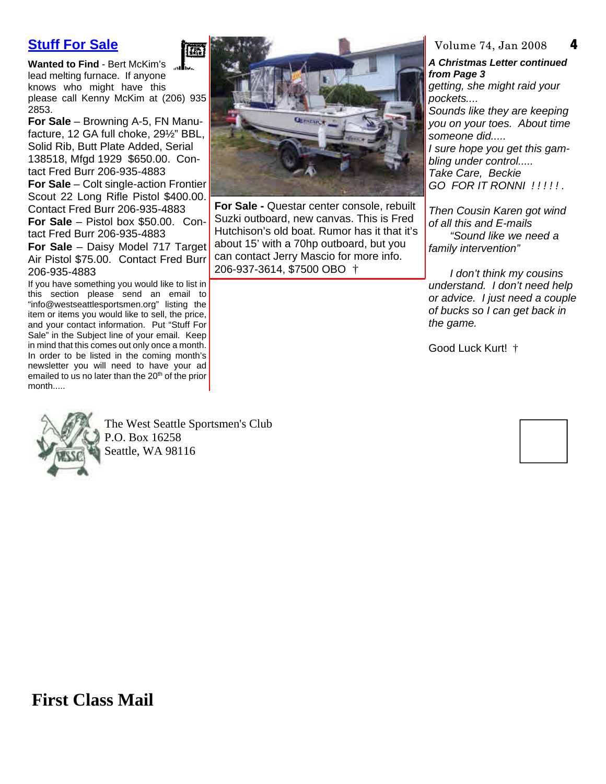### **Stuff For Sale**

**Wanted to Find** - Bert McKim's lead melting furnace. If anyone knows who might have this please call Kenny McKim at (206) 935 2853.

**For Sale** – Browning A-5, FN Manufacture, 12 GA full choke, 29½" BBL, Solid Rib, Butt Plate Added, Serial 138518, Mfgd 1929 \$650.00. Contact Fred Burr 206-935-4883

**For Sale** – Colt single-action Frontier Scout 22 Long Rifle Pistol \$400.00. Contact Fred Burr 206-935-4883 **For Sale** – Pistol box \$50.00. Con-

tact Fred Burr 206-935-4883 **For Sale** – Daisy Model 717 Target Air Pistol \$75.00. Contact Fred Burr 206-935-4883

If you have something you would like to list in this section please send an email to "info@westseattlesportsmen.org" listing the item or items you would like to sell, the price, and your contact information. Put "Stuff For Sale" in the Subject line of your email. Keep in mind that this comes out only once a month. In order to be listed in the coming month's newsletter you will need to have your ad emailed to us no later than the 20<sup>th</sup> of the prior month.....



The West Seattle Sportsmen's Club P.O. Box 16258 Seattle, WA 98116

鷹



**For Sale -** Questar center console, rebuilt Suzki outboard, new canvas. This is Fred Hutchison's old boat. Rumor has it that it's about 15' with a 70hp outboard, but you can contact Jerry Mascio for more info. 206-937-3614, \$7500 OBO †

**4** Volume 74, Jan 2008

*A Christmas Letter continued from Page 3 getting, she might raid your pockets.... Sounds like they are keeping you on your toes. About time someone did..... I sure hope you get this gambling under control..... Take Care, Beckie GO FOR IT RONNI ! ! ! ! ! .*

*Then Cousin Karen got wind of all this and E-mails "Sound like we need a family intervention"*

*I don't think my cousins understand. I don't need help or advice. I just need a couple of bucks so I can get back in the game.*

Good Luck Kurt! †



**First Class Mail**